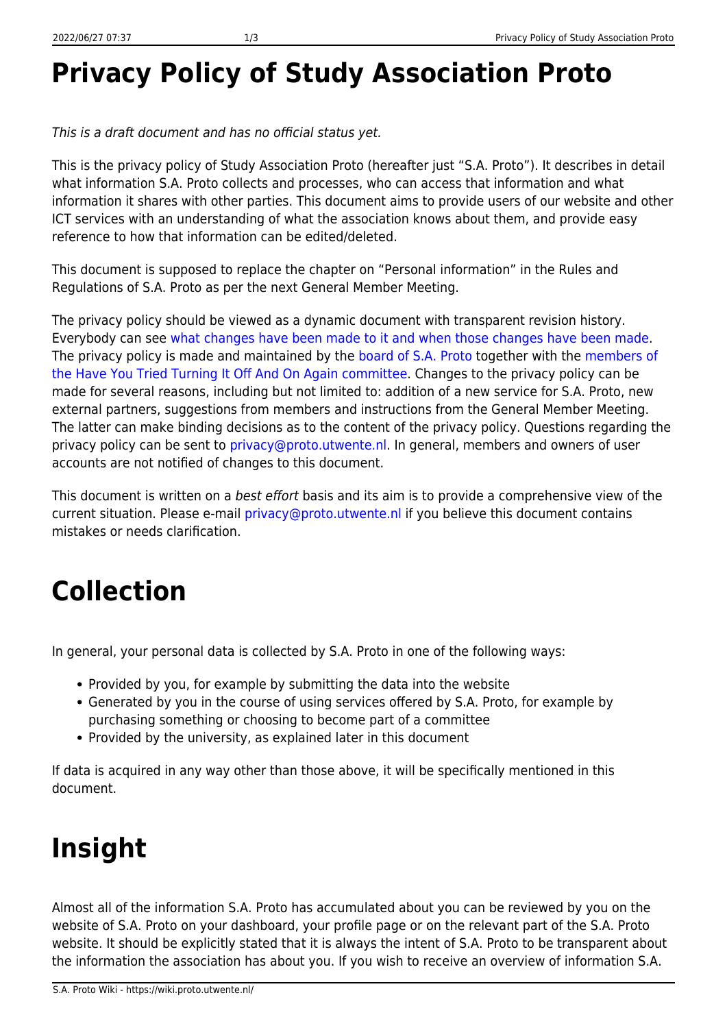## **Privacy Policy of Study Association Proto**

This is a draft document and has no official status yet.

This is the privacy policy of Study Association Proto (hereafter just "S.A. Proto"). It describes in detail what information S.A. Proto collects and processes, who can access that information and what information it shares with other parties. This document aims to provide users of our website and other ICT services with an understanding of what the association knows about them, and provide easy reference to how that information can be edited/deleted.

This document is supposed to replace the chapter on "Personal information" in the Rules and Regulations of S.A. Proto as per the next General Member Meeting.

The privacy policy should be viewed as a dynamic document with transparent revision history. Everybody can see [what changes have been made to it and when those changes have been made.](https://wiki.proto.utwente.nl/ict/privacy/start?do=revisions) The privacy policy is made and maintained by the [board of S.A. Proto](https://www.proto.utwente.nl/page/board) together with the [members of](https://www.proto.utwente.nl/committee/819) [the Have You Tried Turning It Off And On Again committee.](https://www.proto.utwente.nl/committee/819) Changes to the privacy policy can be made for several reasons, including but not limited to: addition of a new service for S.A. Proto, new external partners, suggestions from members and instructions from the General Member Meeting. The latter can make binding decisions as to the content of the privacy policy. Questions regarding the privacy policy can be sent to [privacy@proto.utwente.nl.](mailto:privacy@proto.utwente.nl) In general, members and owners of user accounts are not notified of changes to this document.

This document is written on a best effort basis and its aim is to provide a comprehensive view of the current situation. Please e-mail [privacy@proto.utwente.nl](mailto:privacy@proto.utwente.nl) if you believe this document contains mistakes or needs clarification.

### **Collection**

In general, your personal data is collected by S.A. Proto in one of the following ways:

- Provided by you, for example by submitting the data into the website
- Generated by you in the course of using services offered by S.A. Proto, for example by purchasing something or choosing to become part of a committee
- Provided by the university, as explained later in this document

If data is acquired in any way other than those above, it will be specifically mentioned in this document.

# **Insight**

Almost all of the information S.A. Proto has accumulated about you can be reviewed by you on the website of S.A. Proto on your dashboard, your profile page or on the relevant part of the S.A. Proto website. It should be explicitly stated that it is always the intent of S.A. Proto to be transparent about the information the association has about you. If you wish to receive an overview of information S.A.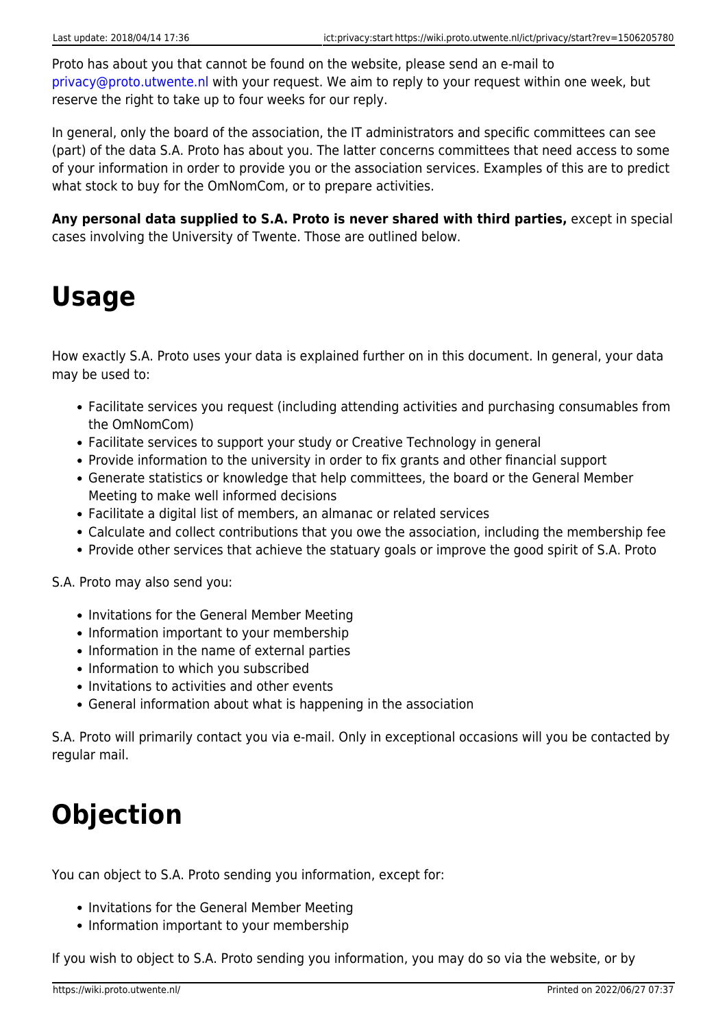Proto has about you that cannot be found on the website, please send an e-mail to [privacy@proto.utwente.nl](mailto:privacy@proto.utwente.nl) with your request. We aim to reply to your request within one week, but reserve the right to take up to four weeks for our reply.

In general, only the board of the association, the IT administrators and specific committees can see (part) of the data S.A. Proto has about you. The latter concerns committees that need access to some of your information in order to provide you or the association services. Examples of this are to predict what stock to buy for the OmNomCom, or to prepare activities.

**Any personal data supplied to S.A. Proto is never shared with third parties,** except in special cases involving the University of Twente. Those are outlined below.

## **Usage**

How exactly S.A. Proto uses your data is explained further on in this document. In general, your data may be used to:

- Facilitate services you request (including attending activities and purchasing consumables from the OmNomCom)
- Facilitate services to support your study or Creative Technology in general
- Provide information to the university in order to fix grants and other financial support
- Generate statistics or knowledge that help committees, the board or the General Member Meeting to make well informed decisions
- Facilitate a digital list of members, an almanac or related services
- Calculate and collect contributions that you owe the association, including the membership fee
- Provide other services that achieve the statuary goals or improve the good spirit of S.A. Proto

S.A. Proto may also send you:

- Invitations for the General Member Meeting
- Information important to your membership
- Information in the name of external parties
- Information to which you subscribed
- Invitations to activities and other events
- General information about what is happening in the association

S.A. Proto will primarily contact you via e-mail. Only in exceptional occasions will you be contacted by regular mail.

### **Objection**

You can object to S.A. Proto sending you information, except for:

- Invitations for the General Member Meeting
- Information important to your membership

If you wish to object to S.A. Proto sending you information, you may do so via the website, or by